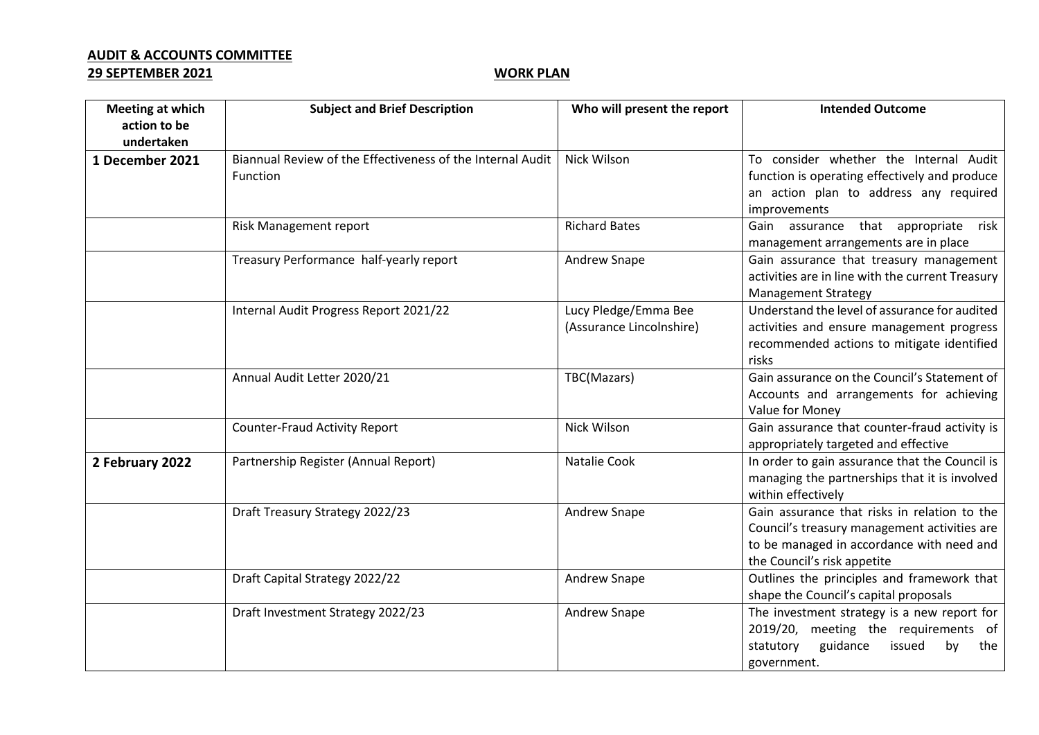## **AUDIT & ACCOUNTS COMMITTEE**

## **29 SEPTEMBER 2021 WORK PLAN**

| <b>Meeting at which</b>    | <b>Subject and Brief Description</b>                                   | Who will present the report                      | <b>Intended Outcome</b>                                                                                                                                                  |
|----------------------------|------------------------------------------------------------------------|--------------------------------------------------|--------------------------------------------------------------------------------------------------------------------------------------------------------------------------|
| action to be<br>undertaken |                                                                        |                                                  |                                                                                                                                                                          |
| 1 December 2021            | Biannual Review of the Effectiveness of the Internal Audit<br>Function | Nick Wilson                                      | To consider whether the Internal Audit<br>function is operating effectively and produce<br>an action plan to address any required<br>improvements                        |
|                            | Risk Management report                                                 | <b>Richard Bates</b>                             | Gain assurance that appropriate<br>risk<br>management arrangements are in place                                                                                          |
|                            | Treasury Performance half-yearly report                                | Andrew Snape                                     | Gain assurance that treasury management<br>activities are in line with the current Treasury<br><b>Management Strategy</b>                                                |
|                            | Internal Audit Progress Report 2021/22                                 | Lucy Pledge/Emma Bee<br>(Assurance Lincolnshire) | Understand the level of assurance for audited<br>activities and ensure management progress<br>recommended actions to mitigate identified<br>risks                        |
|                            | Annual Audit Letter 2020/21                                            | TBC(Mazars)                                      | Gain assurance on the Council's Statement of<br>Accounts and arrangements for achieving<br>Value for Money                                                               |
|                            | <b>Counter-Fraud Activity Report</b>                                   | Nick Wilson                                      | Gain assurance that counter-fraud activity is<br>appropriately targeted and effective                                                                                    |
| 2 February 2022            | Partnership Register (Annual Report)                                   | Natalie Cook                                     | In order to gain assurance that the Council is<br>managing the partnerships that it is involved<br>within effectively                                                    |
|                            | Draft Treasury Strategy 2022/23                                        | Andrew Snape                                     | Gain assurance that risks in relation to the<br>Council's treasury management activities are<br>to be managed in accordance with need and<br>the Council's risk appetite |
|                            | Draft Capital Strategy 2022/22                                         | Andrew Snape                                     | Outlines the principles and framework that<br>shape the Council's capital proposals                                                                                      |
|                            | Draft Investment Strategy 2022/23                                      | Andrew Snape                                     | The investment strategy is a new report for<br>2019/20, meeting the requirements of<br>guidance<br>issued<br>statutory<br>by<br>the<br>government.                       |